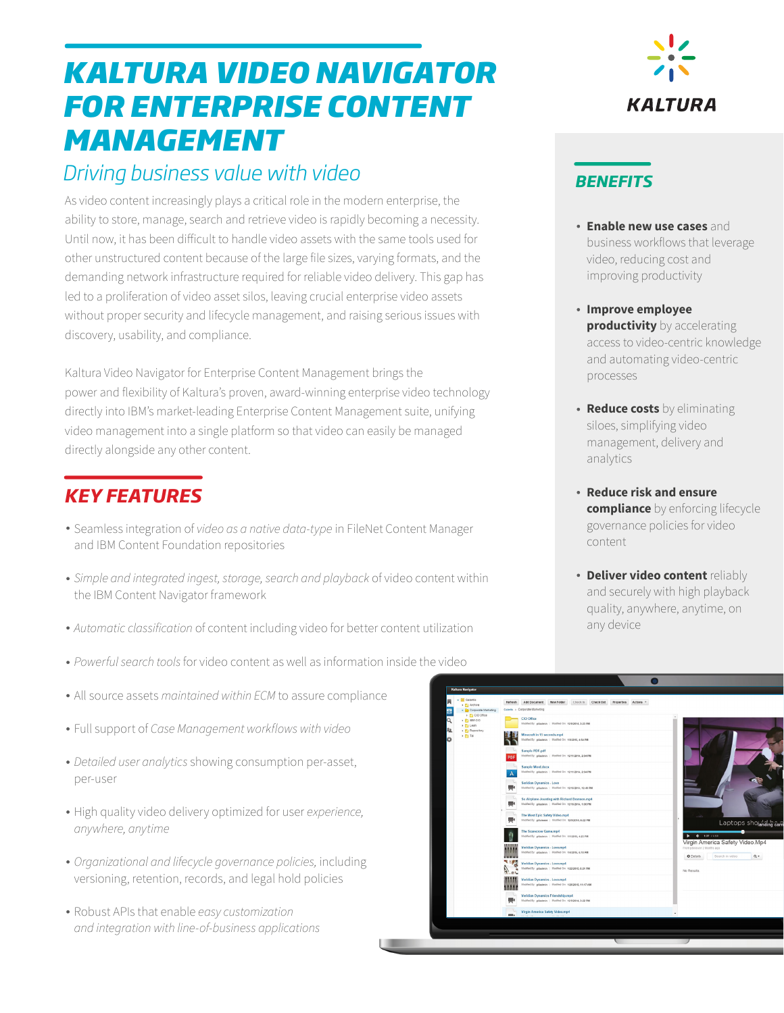# *KALTURA VIDEO NAVIGATOR FOR ENTERPRISE CONTENT MANAGEMENT*

## *Driving business value with video*

As video content increasingly plays a critical role in the modern enterprise, the ability to store, manage, search and retrieve video is rapidly becoming a necessity. Until now, it has been difficult to handle video assets with the same tools used for other unstructured content because of the large file sizes, varying formats, and the demanding network infrastructure required for reliable video delivery. This gap has led to a proliferation of video asset silos, leaving crucial enterprise video assets without proper security and lifecycle management, and raising serious issues with discovery, usability, and compliance.

Kaltura Video Navigator for Enterprise Content Management brings the power and flexibility of Kaltura's proven, award-winning enterprise video technology directly into IBM's market-leading Enterprise Content Management suite, unifying video management into a single platform so that video can easily be managed directly alongside any other content.

### *KEY FEATURES*

- Seamless integration of *video as a native data-type* in FileNet Content Manager and IBM Content Foundation repositories
- *Simple and integrated ingest, storage, search and playback* of video content within the IBM Content Navigator framework
- *Automatic classification* of content including video for better content utilization
- *Powerful search tools* for video content as well as information inside the video
- All source assets *maintained within ECM* to assure compliance
- Full support of *Case Management workflows with video*
- *Detailed user analytics* showing consumption per-asset, per-user
- High quality video delivery optimized for user *experience, anywhere, anytime*
- *Organizational and lifecycle governance policies,* including versioning, retention, records, and legal hold policies
- Robust APIs that enable *easy customization and integration with line-of-business applications*



### *BENEFITS*

- **Enable new use cases** and business workflows that leverage video, reducing cost and improving productivity
- **Improve employee productivity** by accelerating access to video-centric knowledge and automating video-centric processes
- **Reduce costs** by eliminating siloes, simplifying video management, delivery and analytics
- **Reduce risk and ensure compliance** by enforcing lifecycle governance policies for video content
- **Deliver video content** reliably and securely with high playback quality, anywhere, anytime, on any device